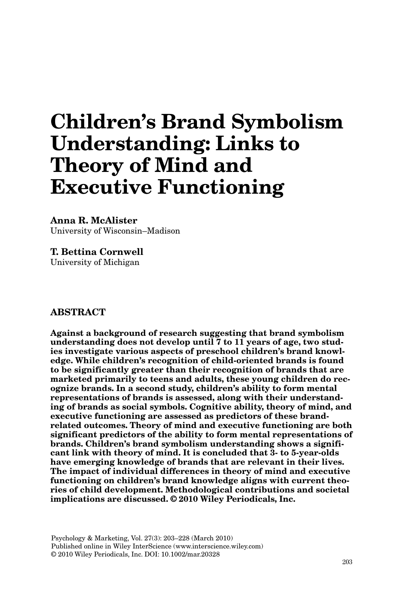# **Children's Brand Symbolism Understanding: Links to Theory of Mind and Executive Functioning**

**Anna R. McAlister** University of Wisconsin–Madison

**T. Bettina Cornwell** University of Michigan

#### **ABSTRACT**

**Against a background of research suggesting that brand symbolism understanding does not develop until 7 to 11 years of age, two studies investigate various aspects of preschool children's brand knowledge. While children's recognition of child-oriented brands is found to be significantly greater than their recognition of brands that are marketed primarily to teens and adults, these young children do recognize brands. In a second study, children's ability to form mental representations of brands is assessed, along with their understanding of brands as social symbols. Cognitive ability, theory of mind, and executive functioning are assessed as predictors of these brandrelated outcomes. Theory of mind and executive functioning are both significant predictors of the ability to form mental representations of brands. Children's brand symbolism understanding shows a significant link with theory of mind. It is concluded that 3- to 5-year-olds have emerging knowledge of brands that are relevant in their lives. The impact of individual differences in theory of mind and executive functioning on children's brand knowledge aligns with current theories of child development. Methodological contributions and societal implications are discussed. © 2010 Wiley Periodicals, Inc.**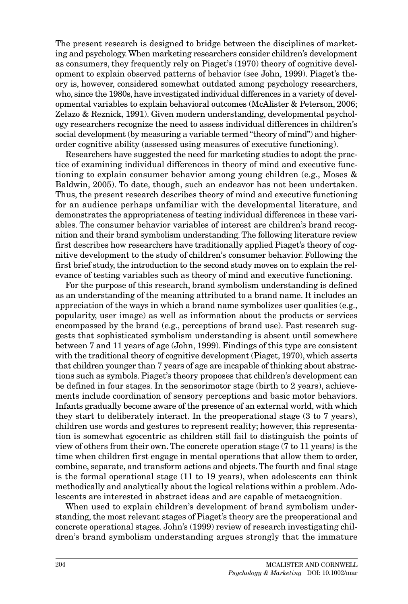The present research is designed to bridge between the disciplines of marketing and psychology. When marketing researchers consider children's development as consumers, they frequently rely on Piaget's (1970) theory of cognitive development to explain observed patterns of behavior (see John, 1999). Piaget's theory is, however, considered somewhat outdated among psychology researchers, who, since the 1980s, have investigated individual differences in a variety of developmental variables to explain behavioral outcomes (McAlister & Peterson, 2006; Zelazo & Reznick, 1991). Given modern understanding, developmental psychology researchers recognize the need to assess individual differences in children's social development (by measuring a variable termed "theory of mind") and higherorder cognitive ability (assessed using measures of executive functioning).

Researchers have suggested the need for marketing studies to adopt the practice of examining individual differences in theory of mind and executive functioning to explain consumer behavior among young children (e.g., Moses & Baldwin, 2005). To date, though, such an endeavor has not been undertaken. Thus, the present research describes theory of mind and executive functioning for an audience perhaps unfamiliar with the developmental literature, and demonstrates the appropriateness of testing individual differences in these variables. The consumer behavior variables of interest are children's brand recognition and their brand symbolism understanding. The following literature review first describes how researchers have traditionally applied Piaget's theory of cognitive development to the study of children's consumer behavior. Following the first brief study, the introduction to the second study moves on to explain the relevance of testing variables such as theory of mind and executive functioning.

For the purpose of this research, brand symbolism understanding is defined as an understanding of the meaning attributed to a brand name. It includes an appreciation of the ways in which a brand name symbolizes user qualities (e.g., popularity, user image) as well as information about the products or services encompassed by the brand (e.g., perceptions of brand use). Past research suggests that sophisticated symbolism understanding is absent until somewhere between 7 and 11 years of age (John, 1999). Findings of this type are consistent with the traditional theory of cognitive development (Piaget, 1970), which asserts that children younger than 7 years of age are incapable of thinking about abstractions such as symbols. Piaget's theory proposes that children's development can be defined in four stages. In the sensorimotor stage (birth to 2 years), achievements include coordination of sensory perceptions and basic motor behaviors. Infants gradually become aware of the presence of an external world, with which they start to deliberately interact. In the preoperational stage (3 to 7 years), children use words and gestures to represent reality; however, this representation is somewhat egocentric as children still fail to distinguish the points of view of others from their own. The concrete operation stage (7 to 11 years) is the time when children first engage in mental operations that allow them to order, combine, separate, and transform actions and objects. The fourth and final stage is the formal operational stage (11 to 19 years), when adolescents can think methodically and analytically about the logical relations within a problem. Adolescents are interested in abstract ideas and are capable of metacognition.

When used to explain children's development of brand symbolism understanding, the most relevant stages of Piaget's theory are the preoperational and concrete operational stages. John's (1999) review of research investigating children's brand symbolism understanding argues strongly that the immature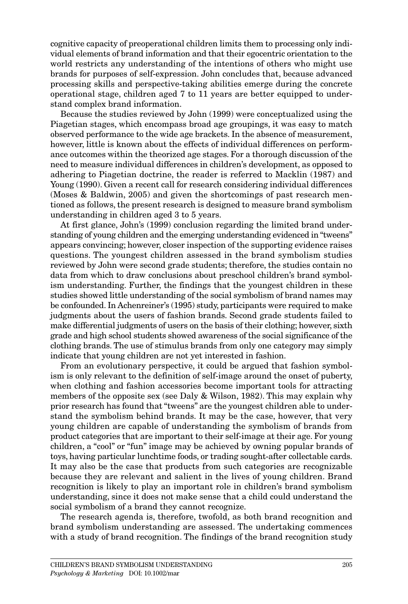cognitive capacity of preoperational children limits them to processing only individual elements of brand information and that their egocentric orientation to the world restricts any understanding of the intentions of others who might use brands for purposes of self-expression. John concludes that, because advanced processing skills and perspective-taking abilities emerge during the concrete operational stage, children aged 7 to 11 years are better equipped to understand complex brand information.

Because the studies reviewed by John (1999) were conceptualized using the Piagetian stages, which encompass broad age groupings, it was easy to match observed performance to the wide age brackets. In the absence of measurement, however, little is known about the effects of individual differences on performance outcomes within the theorized age stages. For a thorough discussion of the need to measure individual differences in children's development, as opposed to adhering to Piagetian doctrine, the reader is referred to Macklin (1987) and Young (1990). Given a recent call for research considering individual differences (Moses & Baldwin, 2005) and given the shortcomings of past research mentioned as follows, the present research is designed to measure brand symbolism understanding in children aged 3 to 5 years.

At first glance, John's (1999) conclusion regarding the limited brand understanding of young children and the emerging understanding evidenced in "tweens" appears convincing; however, closer inspection of the supporting evidence raises questions. The youngest children assessed in the brand symbolism studies reviewed by John were second grade students; therefore, the studies contain no data from which to draw conclusions about preschool children's brand symbolism understanding. Further, the findings that the youngest children in these studies showed little understanding of the social symbolism of brand names may be confounded. In Achenreiner's (1995) study, participants were required to make judgments about the users of fashion brands. Second grade students failed to make differential judgments of users on the basis of their clothing; however, sixth grade and high school students showed awareness of the social significance of the clothing brands. The use of stimulus brands from only one category may simply indicate that young children are not yet interested in fashion.

From an evolutionary perspective, it could be argued that fashion symbolism is only relevant to the definition of self-image around the onset of puberty, when clothing and fashion accessories become important tools for attracting members of the opposite sex (see Daly & Wilson, 1982). This may explain why prior research has found that "tweens" are the youngest children able to understand the symbolism behind brands. It may be the case, however, that very young children are capable of understanding the symbolism of brands from product categories that are important to their self-image at their age. For young children, a "cool" or "fun" image may be achieved by owning popular brands of toys, having particular lunchtime foods, or trading sought-after collectable cards. It may also be the case that products from such categories are recognizable because they are relevant and salient in the lives of young children. Brand recognition is likely to play an important role in children's brand symbolism understanding, since it does not make sense that a child could understand the social symbolism of a brand they cannot recognize.

The research agenda is, therefore, twofold, as both brand recognition and brand symbolism understanding are assessed. The undertaking commences with a study of brand recognition. The findings of the brand recognition study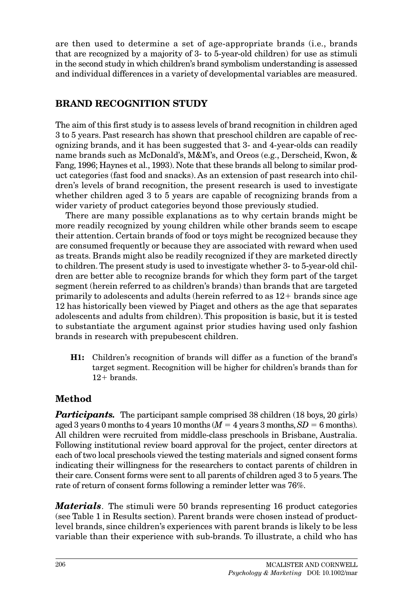are then used to determine a set of age-appropriate brands (i.e., brands that are recognized by a majority of 3- to 5-year-old children) for use as stimuli in the second study in which children's brand symbolism understanding is assessed and individual differences in a variety of developmental variables are measured.

# **BRAND RECOGNITION STUDY**

The aim of this first study is to assess levels of brand recognition in children aged 3 to 5 years. Past research has shown that preschool children are capable of recognizing brands, and it has been suggested that 3- and 4-year-olds can readily name brands such as McDonald's, M&M's, and Oreos (e.g., Derscheid, Kwon, & Fang, 1996; Haynes et al., 1993). Note that these brands all belong to similar product categories (fast food and snacks). As an extension of past research into children's levels of brand recognition, the present research is used to investigate whether children aged 3 to 5 years are capable of recognizing brands from a wider variety of product categories beyond those previously studied.

There are many possible explanations as to why certain brands might be more readily recognized by young children while other brands seem to escape their attention. Certain brands of food or toys might be recognized because they are consumed frequently or because they are associated with reward when used as treats. Brands might also be readily recognized if they are marketed directly to children. The present study is used to investigate whether 3- to 5-year-old children are better able to recognize brands for which they form part of the target segment (herein referred to as children's brands) than brands that are targeted primarily to adolescents and adults (herein referred to as  $12+$  brands since age 12 has historically been viewed by Piaget and others as the age that separates adolescents and adults from children). This proposition is basic, but it is tested to substantiate the argument against prior studies having used only fashion brands in research with prepubescent children.

**H1:** Children's recognition of brands will differ as a function of the brand's target segment. Recognition will be higher for children's brands than for  $12 +$  brands.

# **Method**

*Participants.* The participant sample comprised 38 children (18 boys, 20 girls) aged 3 years 0 months to 4 years 10 months ( $M = 4$  years 3 months,  $SD = 6$  months). All children were recruited from middle-class preschools in Brisbane, Australia. Following institutional review board approval for the project, center directors at each of two local preschools viewed the testing materials and signed consent forms indicating their willingness for the researchers to contact parents of children in their care. Consent forms were sent to all parents of children aged 3 to 5 years.The rate of return of consent forms following a reminder letter was 76%.

*Materials*. The stimuli were 50 brands representing 16 product categories (see Table 1 in Results section). Parent brands were chosen instead of productlevel brands, since children's experiences with parent brands is likely to be less variable than their experience with sub-brands. To illustrate, a child who has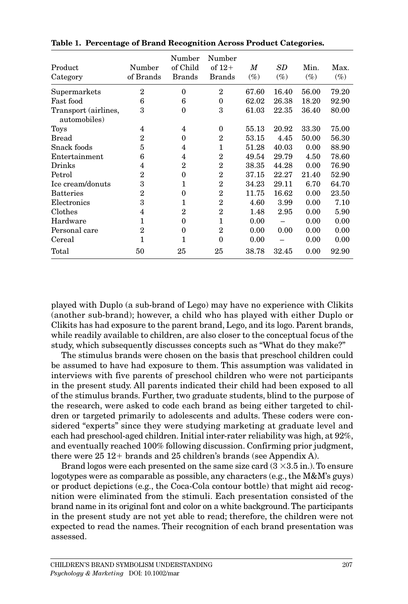| Product<br>Category                  | Number<br>of Brands | Number<br>of Child<br>Brands | Number<br>of $12+$<br><b>Brands</b> | M<br>$(\%)$ | SD<br>$(\%)$ | Min.<br>$(\%)$ | Max.<br>$(\%)$ |
|--------------------------------------|---------------------|------------------------------|-------------------------------------|-------------|--------------|----------------|----------------|
| Supermarkets                         | $\overline{2}$      | $\Omega$                     | $\mathbf{2}$                        | 67.60       | 16.40        | 56.00          | 79.20          |
| Fast food                            | 6                   | 6                            | $\mathbf{0}$                        | 62.02       | 26.38        | 18.20          | 92.90          |
| Transport (airlines,<br>automobiles) | 3                   | $\Omega$                     | 3                                   | 61.03       | 22.35        | 36.40          | 80.00          |
| Toys                                 | 4                   | 4                            | $\mathbf{0}$                        | 55.13       | 20.92        | 33.30          | 75.00          |
| <b>Bread</b>                         | $\overline{2}$      | 0                            | $\overline{2}$                      | 53.15       | 4.45         | 50.00          | 56.30          |
| Snack foods                          | 5                   | 4                            | 1                                   | 51.28       | 40.03        | 0.00           | 88.90          |
| Entertainment                        | 6                   | 4                            | $\overline{2}$                      | 49.54       | 29.79        | 4.50           | 78.60          |
| Drinks                               | 4                   | $\overline{2}$               | $\overline{2}$                      | 38.35       | 44.28        | 0.00           | 76.90          |
| Petrol                               | $\overline{2}$      | $\theta$                     | $\overline{2}$                      | 37.15       | 22.27        | 21.40          | 52.90          |
| Ice cream/donuts                     | 3                   | 1                            | $\overline{2}$                      | 34.23       | 29.11        | 6.70           | 64.70          |
| <b>Batteries</b>                     | $\overline{2}$      | 0                            | $\overline{2}$                      | 11.75       | 16.62        | 0.00           | 23.50          |
| Electronics                          | 3                   | 1                            | $\overline{2}$                      | 4.60        | 3.99         | 0.00           | 7.10           |
| Clothes                              | 4                   | $\overline{2}$               | $\overline{2}$                      | 1.48        | 2.95         | 0.00           | 5.90           |
| Hardware                             | 1                   | 0                            | $\mathbf{1}$                        | 0.00        |              | 0.00           | 0.00           |
| Personal care                        | $\overline{2}$      | $\Omega$                     | $\overline{2}$                      | 0.00        | 0.00         | 0.00           | 0.00           |
| Cereal                               | 1                   | 1                            | $\mathbf{0}$                        | 0.00        |              | 0.00           | 0.00           |
| Total                                | 50                  | 25                           | 25                                  | 38.78       | 32.45        | 0.00           | 92.90          |

**Table 1. Percentage of Brand Recognition Across Product Categories.**

played with Duplo (a sub-brand of Lego) may have no experience with Clikits (another sub-brand); however, a child who has played with either Duplo or Clikits has had exposure to the parent brand, Lego, and its logo. Parent brands, while readily available to children, are also closer to the conceptual focus of the study, which subsequently discusses concepts such as "What do they make?"

The stimulus brands were chosen on the basis that preschool children could be assumed to have had exposure to them. This assumption was validated in interviews with five parents of preschool children who were not participants in the present study. All parents indicated their child had been exposed to all of the stimulus brands. Further, two graduate students, blind to the purpose of the research, were asked to code each brand as being either targeted to children or targeted primarily to adolescents and adults. These coders were considered "experts" since they were studying marketing at graduate level and each had preschool-aged children. Initial inter-rater reliability was high, at 92%, and eventually reached 100% following discussion. Confirming prior judgment, there were  $25 \frac{12+}$  brands and  $25$  children's brands (see Appendix A).

Brand logos were each presented on the same size card  $(3 \times 3.5 \text{ in.})$ . To ensure logotypes were as comparable as possible, any characters (e.g., the M&M's guys) or product depictions (e.g., the Coca-Cola contour bottle) that might aid recognition were eliminated from the stimuli. Each presentation consisted of the brand name in its original font and color on a white background. The participants in the present study are not yet able to read; therefore, the children were not expected to read the names. Their recognition of each brand presentation was assessed.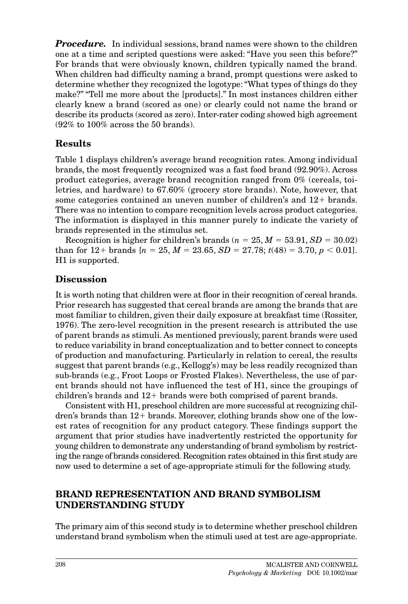*Procedure.* In individual sessions, brand names were shown to the children one at a time and scripted questions were asked: "Have you seen this before?" For brands that were obviously known, children typically named the brand. When children had difficulty naming a brand, prompt questions were asked to determine whether they recognized the logotype: "What types of things do they make?" "Tell me more about the [products]." In most instances children either clearly knew a brand (scored as one) or clearly could not name the brand or describe its products (scored as zero). Inter-rater coding showed high agreement (92% to 100% across the 50 brands).

### **Results**

Table 1 displays children's average brand recognition rates. Among individual brands, the most frequently recognized was a fast food brand (92.90%). Across product categories, average brand recognition ranged from 0% (cereals, toiletries, and hardware) to 67.60% (grocery store brands). Note, however, that some categories contained an uneven number of children's and  $12+$  brands. There was no intention to compare recognition levels across product categories. The information is displayed in this manner purely to indicate the variety of brands represented in the stimulus set.

 $\text{Recognition is higher for children's brands } (n = 25, M = 53.91, SD = 30.02)$ than for  $12+$  brands  $[n = 25, M = 23.65, SD = 27.78; t(48) = 3.70, p < 0.01].$ H1 is supported.

#### **Discussion**

It is worth noting that children were at floor in their recognition of cereal brands. Prior research has suggested that cereal brands are among the brands that are most familiar to children, given their daily exposure at breakfast time (Rossiter, 1976). The zero-level recognition in the present research is attributed the use of parent brands as stimuli. As mentioned previously, parent brands were used to reduce variability in brand conceptualization and to better connect to concepts of production and manufacturing. Particularly in relation to cereal, the results suggest that parent brands (e.g., Kellogg's) may be less readily recognized than sub-brands (e.g., Froot Loops or Frosted Flakes). Nevertheless, the use of parent brands should not have influenced the test of H1, since the groupings of children's brands and  $12+$  brands were both comprised of parent brands.

Consistent with H1, preschool children are more successful at recognizing children's brands than  $12+$  brands. Moreover, clothing brands show one of the lowest rates of recognition for any product category. These findings support the argument that prior studies have inadvertently restricted the opportunity for young children to demonstrate any understanding of brand symbolism by restricting the range of brands considered. Recognition rates obtained in this first study are now used to determine a set of age-appropriate stimuli for the following study.

# **BRAND REPRESENTATION AND BRAND SYMBOLISM UNDERSTANDING STUDY**

The primary aim of this second study is to determine whether preschool children understand brand symbolism when the stimuli used at test are age-appropriate.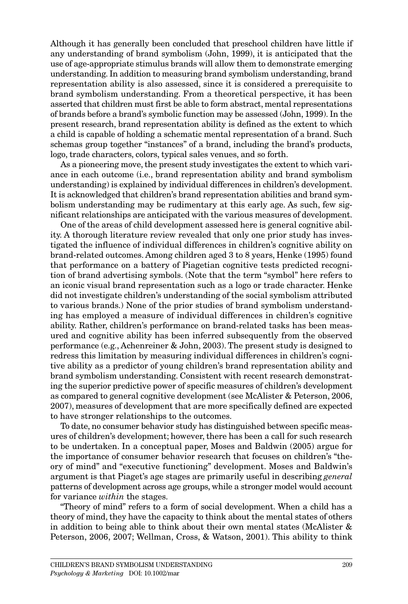Although it has generally been concluded that preschool children have little if any understanding of brand symbolism (John, 1999), it is anticipated that the use of age-appropriate stimulus brands will allow them to demonstrate emerging understanding. In addition to measuring brand symbolism understanding, brand representation ability is also assessed, since it is considered a prerequisite to brand symbolism understanding. From a theoretical perspective, it has been asserted that children must first be able to form abstract, mental representations of brands before a brand's symbolic function may be assessed (John, 1999). In the present research, brand representation ability is defined as the extent to which a child is capable of holding a schematic mental representation of a brand. Such schemas group together "instances" of a brand, including the brand's products, logo, trade characters, colors, typical sales venues, and so forth.

As a pioneering move, the present study investigates the extent to which variance in each outcome (i.e., brand representation ability and brand symbolism understanding) is explained by individual differences in children's development. It is acknowledged that children's brand representation abilities and brand symbolism understanding may be rudimentary at this early age. As such, few significant relationships are anticipated with the various measures of development.

One of the areas of child development assessed here is general cognitive ability. A thorough literature review revealed that only one prior study has investigated the influence of individual differences in children's cognitive ability on brand-related outcomes. Among children aged 3 to 8 years, Henke (1995) found that performance on a battery of Piagetian cognitive tests predicted recognition of brand advertising symbols. (Note that the term "symbol" here refers to an iconic visual brand representation such as a logo or trade character. Henke did not investigate children's understanding of the social symbolism attributed to various brands.) None of the prior studies of brand symbolism understanding has employed a measure of individual differences in children's cognitive ability. Rather, children's performance on brand-related tasks has been measured and cognitive ability has been inferred subsequently from the observed performance (e.g., Achenreiner & John, 2003). The present study is designed to redress this limitation by measuring individual differences in children's cognitive ability as a predictor of young children's brand representation ability and brand symbolism understanding. Consistent with recent research demonstrating the superior predictive power of specific measures of children's development as compared to general cognitive development (see McAlister & Peterson, 2006, 2007), measures of development that are more specifically defined are expected to have stronger relationships to the outcomes.

To date, no consumer behavior study has distinguished between specific measures of children's development; however, there has been a call for such research to be undertaken. In a conceptual paper, Moses and Baldwin (2005) argue for the importance of consumer behavior research that focuses on children's "theory of mind" and "executive functioning" development. Moses and Baldwin's argument is that Piaget's age stages are primarily useful in describing *general* patterns of development across age groups, while a stronger model would account for variance *within* the stages.

"Theory of mind" refers to a form of social development. When a child has a theory of mind, they have the capacity to think about the mental states of others in addition to being able to think about their own mental states (McAlister & Peterson, 2006, 2007; Wellman, Cross, & Watson, 2001). This ability to think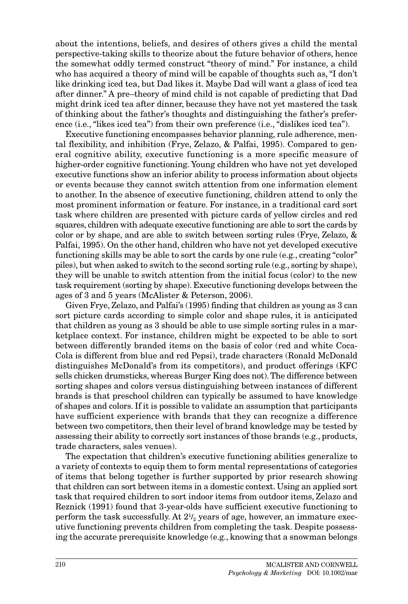about the intentions, beliefs, and desires of others gives a child the mental perspective-taking skills to theorize about the future behavior of others, hence the somewhat oddly termed construct "theory of mind." For instance, a child who has acquired a theory of mind will be capable of thoughts such as, "I don't like drinking iced tea, but Dad likes it. Maybe Dad will want a glass of iced tea after dinner." A pre–theory of mind child is not capable of predicting that Dad might drink iced tea after dinner, because they have not yet mastered the task of thinking about the father's thoughts and distinguishing the father's preference (i.e., "likes iced tea") from their own preference (i.e., "dislikes iced tea").

Executive functioning encompasses behavior planning, rule adherence, mental flexibility, and inhibition (Frye, Zelazo, & Palfai, 1995). Compared to general cognitive ability, executive functioning is a more specific measure of higher-order cognitive functioning. Young children who have not yet developed executive functions show an inferior ability to process information about objects or events because they cannot switch attention from one information element to another. In the absence of executive functioning, children attend to only the most prominent information or feature. For instance, in a traditional card sort task where children are presented with picture cards of yellow circles and red squares, children with adequate executive functioning are able to sort the cards by color or by shape, and are able to switch between sorting rules (Frye, Zelazo,  $\&$ Palfai, 1995). On the other hand, children who have not yet developed executive functioning skills may be able to sort the cards by one rule (e.g., creating "color" piles), but when asked to switch to the second sorting rule (e.g., sorting by shape), they will be unable to switch attention from the initial focus (color) to the new task requirement (sorting by shape). Executive functioning develops between the ages of 3 and 5 years (McAlister & Peterson, 2006).

Given Frye, Zelazo, and Palfai's (1995) finding that children as young as 3 can sort picture cards according to simple color and shape rules, it is anticipated that children as young as 3 should be able to use simple sorting rules in a marketplace context. For instance, children might be expected to be able to sort between differently branded items on the basis of color (red and white Coca-Cola is different from blue and red Pepsi), trade characters (Ronald McDonald distinguishes McDonald's from its competitors), and product offerings (KFC sells chicken drumsticks, whereas Burger King does not). The difference between sorting shapes and colors versus distinguishing between instances of different brands is that preschool children can typically be assumed to have knowledge of shapes and colors. If it is possible to validate an assumption that participants have sufficient experience with brands that they can recognize a difference between two competitors, then their level of brand knowledge may be tested by assessing their ability to correctly sort instances of those brands (e.g., products, trade characters, sales venues).

The expectation that children's executive functioning abilities generalize to a variety of contexts to equip them to form mental representations of categories of items that belong together is further supported by prior research showing that children can sort between items in a domestic context. Using an applied sort task that required children to sort indoor items from outdoor items, Zelazo and Reznick (1991) found that 3-year-olds have sufficient executive functioning to perform the task successfully. At  $2\frac{1}{2}$  years of age, however, an immature executive functioning prevents children from completing the task. Despite possessing the accurate prerequisite knowledge (e.g., knowing that a snowman belongs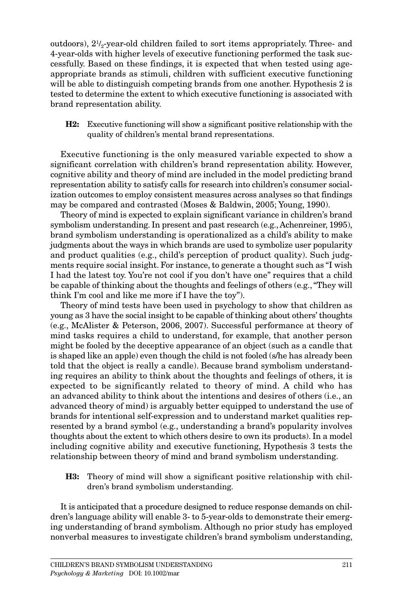outdoors),  $2^{1/2}$ -year-old children failed to sort items appropriately. Three- and 4-year-olds with higher levels of executive functioning performed the task successfully. Based on these findings, it is expected that when tested using ageappropriate brands as stimuli, children with sufficient executive functioning will be able to distinguish competing brands from one another. Hypothesis 2 is tested to determine the extent to which executive functioning is associated with brand representation ability.

**H2:** Executive functioning will show a significant positive relationship with the quality of children's mental brand representations.

Executive functioning is the only measured variable expected to show a significant correlation with children's brand representation ability. However, cognitive ability and theory of mind are included in the model predicting brand representation ability to satisfy calls for research into children's consumer socialization outcomes to employ consistent measures across analyses so that findings may be compared and contrasted (Moses & Baldwin, 2005; Young, 1990).

Theory of mind is expected to explain significant variance in children's brand symbolism understanding. In present and past research (e.g., Achenreiner, 1995), brand symbolism understanding is operationalized as a child's ability to make judgments about the ways in which brands are used to symbolize user popularity and product qualities (e.g., child's perception of product quality). Such judgments require social insight. For instance, to generate a thought such as "I wish I had the latest toy. You're not cool if you don't have one" requires that a child be capable of thinking about the thoughts and feelings of others (e.g., "They will think I'm cool and like me more if I have the toy").

Theory of mind tests have been used in psychology to show that children as young as 3 have the social insight to be capable of thinking about others' thoughts (e.g., McAlister & Peterson, 2006, 2007). Successful performance at theory of mind tasks requires a child to understand, for example, that another person might be fooled by the deceptive appearance of an object (such as a candle that is shaped like an apple) even though the child is not fooled (s/he has already been told that the object is really a candle). Because brand symbolism understanding requires an ability to think about the thoughts and feelings of others, it is expected to be significantly related to theory of mind. A child who has an advanced ability to think about the intentions and desires of others (i.e., an advanced theory of mind) is arguably better equipped to understand the use of brands for intentional self-expression and to understand market qualities represented by a brand symbol (e.g., understanding a brand's popularity involves thoughts about the extent to which others desire to own its products). In a model including cognitive ability and executive functioning, Hypothesis 3 tests the relationship between theory of mind and brand symbolism understanding.

**H3:** Theory of mind will show a significant positive relationship with children's brand symbolism understanding.

It is anticipated that a procedure designed to reduce response demands on children's language ability will enable 3- to 5-year-olds to demonstrate their emerging understanding of brand symbolism. Although no prior study has employed nonverbal measures to investigate children's brand symbolism understanding,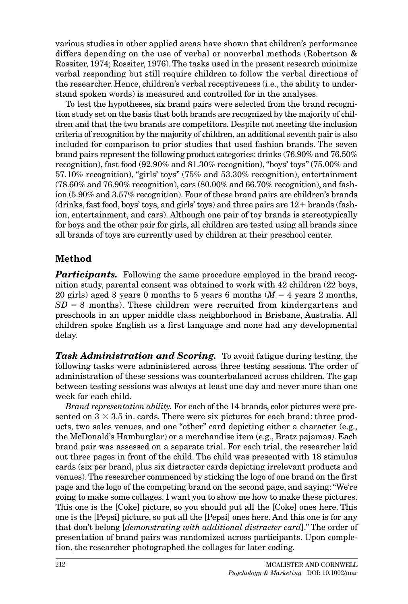various studies in other applied areas have shown that children's performance differs depending on the use of verbal or nonverbal methods (Robertson & Rossiter, 1974; Rossiter, 1976). The tasks used in the present research minimize verbal responding but still require children to follow the verbal directions of the researcher. Hence, children's verbal receptiveness (i.e., the ability to understand spoken words) is measured and controlled for in the analyses.

To test the hypotheses, six brand pairs were selected from the brand recognition study set on the basis that both brands are recognized by the majority of children and that the two brands are competitors. Despite not meeting the inclusion criteria of recognition by the majority of children, an additional seventh pair is also included for comparison to prior studies that used fashion brands. The seven brand pairs represent the following product categories: drinks (76.90% and 76.50% recognition), fast food (92.90% and 81.30% recognition), "boys' toys" (75.00% and 57.10% recognition), "girls' toys" (75% and 53.30% recognition), entertainment (78.60% and 76.90% recognition), cars (80.00% and 66.70% recognition), and fashion (5.90% and 3.57% recognition). Four of these brand pairs are children's brands  $(drinks, fast food, boys' toys, and girls' toys) and three pairs are  $12+$  brands (fash$ ion, entertainment, and cars). Although one pair of toy brands is stereotypically for boys and the other pair for girls, all children are tested using all brands since all brands of toys are currently used by children at their preschool center.

# **Method**

*Participants.* Following the same procedure employed in the brand recognition study, parental consent was obtained to work with 42 children (22 boys,  $20$  girls) aged  $3$  years  $0$  months to  $5$  years  $6$  months ( $M = 4$  years  $2$  months,  $SD = 8$  months). These children were recruited from kindergartens and preschools in an upper middle class neighborhood in Brisbane, Australia. All children spoke English as a first language and none had any developmental delay.

*Task Administration and Scoring.* To avoid fatigue during testing, the following tasks were administered across three testing sessions. The order of administration of these sessions was counterbalanced across children. The gap between testing sessions was always at least one day and never more than one week for each child.

*Brand representation ability.* For each of the 14 brands, color pictures were presented on  $3 \times 3.5$  in. cards. There were six pictures for each brand: three products, two sales venues, and one "other" card depicting either a character (e.g., the McDonald's Hamburglar) or a merchandise item (e.g., Bratz pajamas). Each brand pair was assessed on a separate trial. For each trial, the researcher laid out three pages in front of the child. The child was presented with 18 stimulus cards (six per brand, plus six distracter cards depicting irrelevant products and venues). The researcher commenced by sticking the logo of one brand on the first page and the logo of the competing brand on the second page, and saying: "We're going to make some collages. I want you to show me how to make these pictures. This one is the [Coke] picture, so you should put all the [Coke] ones here. This one is the [Pepsi] picture, so put all the [Pepsi] ones here. And this one is for any that don't belong [*demonstrating with additional distracter card*]." The order of presentation of brand pairs was randomized across participants. Upon completion, the researcher photographed the collages for later coding.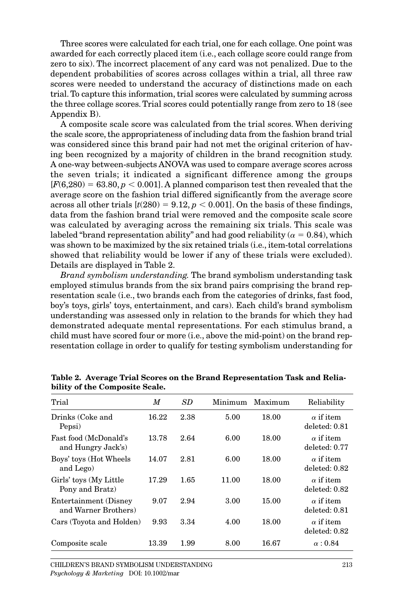Three scores were calculated for each trial, one for each collage. One point was awarded for each correctly placed item (i.e., each collage score could range from zero to six). The incorrect placement of any card was not penalized. Due to the dependent probabilities of scores across collages within a trial, all three raw scores were needed to understand the accuracy of distinctions made on each trial. To capture this information, trial scores were calculated by summing across the three collage scores. Trial scores could potentially range from zero to 18 (see Appendix B).

A composite scale score was calculated from the trial scores. When deriving the scale score, the appropriateness of including data from the fashion brand trial was considered since this brand pair had not met the original criterion of having been recognized by a majority of children in the brand recognition study. A one-way between-subjects ANOVA was used to compare average scores across the seven trials; it indicated a significant difference among the groups  $[F(6,280) = 63.80, p < 0.001]$ . A planned comparison test then revealed that the average score on the fashion trial differed significantly from the average score across all other trials  $[t(280) = 9.12, p < 0.001]$ . On the basis of these findings, data from the fashion brand trial were removed and the composite scale score was calculated by averaging across the remaining six trials. This scale was labeled "brand representation ability" and had good reliability ( $\alpha = 0.84$ ), which was shown to be maximized by the six retained trials (i.e., item-total correlations showed that reliability would be lower if any of these trials were excluded). Details are displayed in Table 2.

*Brand symbolism understanding.* The brand symbolism understanding task employed stimulus brands from the six brand pairs comprising the brand representation scale (i.e., two brands each from the categories of drinks, fast food, boy's toys, girls' toys, entertainment, and cars). Each child's brand symbolism understanding was assessed only in relation to the brands for which they had demonstrated adequate mental representations. For each stimulus brand, a child must have scored four or more (i.e., above the mid-point) on the brand representation collage in order to qualify for testing symbolism understanding for

| Trial                                         | M         | <b>SD</b> | Minimum | Maximum | Reliability                       |
|-----------------------------------------------|-----------|-----------|---------|---------|-----------------------------------|
| Drinks (Coke and<br>Pepsi)                    | 16.22     | 2.38      | 5.00    | 18.00   | $\alpha$ if item<br>deleted: 0.81 |
| Fast food (McDonald's<br>and Hungry Jack's)   | 13.78     | 2.64      | 6.00    | 18.00   | $\alpha$ if item<br>deleted: 0.77 |
| Boys' toys (Hot Wheels<br>and Lego)           | 14.07     | 2.81      | 6.00    | 18.00   | $\alpha$ if item<br>deleted: 0.82 |
| Girls' toys (My Little<br>Pony and Bratz)     | 17.29     | 1.65      | 11.00   | 18.00   | $\alpha$ if item<br>deleted: 0.82 |
| Entertainment (Disney<br>and Warner Brothers) | 9.07      | 2.94      | 3.00    | 15.00   | $\alpha$ if item<br>deleted: 0.81 |
| Cars (Toyota and Holden)                      | 9.93      | 3.34      | 4.00    | 18.00   | $\alpha$ if item<br>deleted: 0.82 |
| Composite scale                               | $13.39\,$ | 1.99      | 8.00    | 16.67   | $\alpha$ : 0.84                   |

**Table 2. Average Trial Scores on the Brand Representation Task and Reliability of the Composite Scale.**

CHILDREN'S BRAND SYMBOLISM UNDERSTANDING *Psychology & Marketing* DOI: 10.1002/mar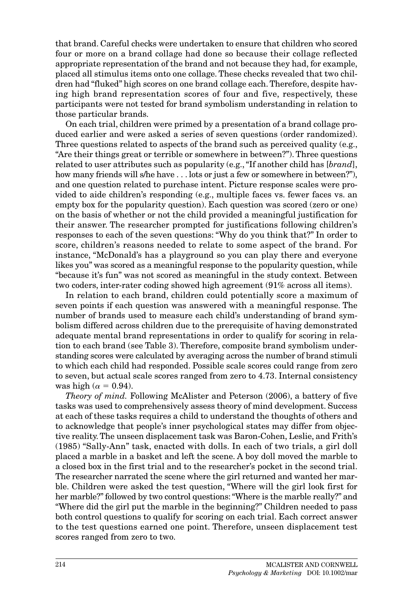that brand. Careful checks were undertaken to ensure that children who scored four or more on a brand collage had done so because their collage reflected appropriate representation of the brand and not because they had, for example, placed all stimulus items onto one collage. These checks revealed that two children had "fluked" high scores on one brand collage each. Therefore, despite having high brand representation scores of four and five, respectively, these participants were not tested for brand symbolism understanding in relation to those particular brands.

On each trial, children were primed by a presentation of a brand collage produced earlier and were asked a series of seven questions (order randomized). Three questions related to aspects of the brand such as perceived quality (e.g., "Are their things great or terrible or somewhere in between?"). Three questions related to user attributes such as popularity (e.g., "If another child has [*brand*], how many friends will s/he have . . . lots or just a few or somewhere in between?"), and one question related to purchase intent. Picture response scales were provided to aide children's responding (e.g., multiple faces vs. fewer faces vs. an empty box for the popularity question). Each question was scored (zero or one) on the basis of whether or not the child provided a meaningful justification for their answer. The researcher prompted for justifications following children's responses to each of the seven questions: "Why do you think that?" In order to score, children's reasons needed to relate to some aspect of the brand. For instance, "McDonald's has a playground so you can play there and everyone likes you" was scored as a meaningful response to the popularity question, while "because it's fun" was not scored as meaningful in the study context. Between two coders, inter-rater coding showed high agreement (91% across all items).

In relation to each brand, children could potentially score a maximum of seven points if each question was answered with a meaningful response. The number of brands used to measure each child's understanding of brand symbolism differed across children due to the prerequisite of having demonstrated adequate mental brand representations in order to qualify for scoring in relation to each brand (see Table 3). Therefore, composite brand symbolism understanding scores were calculated by averaging across the number of brand stimuli to which each child had responded. Possible scale scores could range from zero to seven, but actual scale scores ranged from zero to 4.73. Internal consistency was high ( $\alpha = 0.94$ ).

*Theory of mind.* Following McAlister and Peterson (2006), a battery of five tasks was used to comprehensively assess theory of mind development. Success at each of these tasks requires a child to understand the thoughts of others and to acknowledge that people's inner psychological states may differ from objective reality. The unseen displacement task was Baron-Cohen, Leslie, and Frith's (1985) "Sally-Ann" task, enacted with dolls. In each of two trials, a girl doll placed a marble in a basket and left the scene. A boy doll moved the marble to a closed box in the first trial and to the researcher's pocket in the second trial. The researcher narrated the scene where the girl returned and wanted her marble. Children were asked the test question, "Where will the girl look first for her marble?" followed by two control questions: "Where is the marble really?" and "Where did the girl put the marble in the beginning?" Children needed to pass both control questions to qualify for scoring on each trial. Each correct answer to the test questions earned one point. Therefore, unseen displacement test scores ranged from zero to two.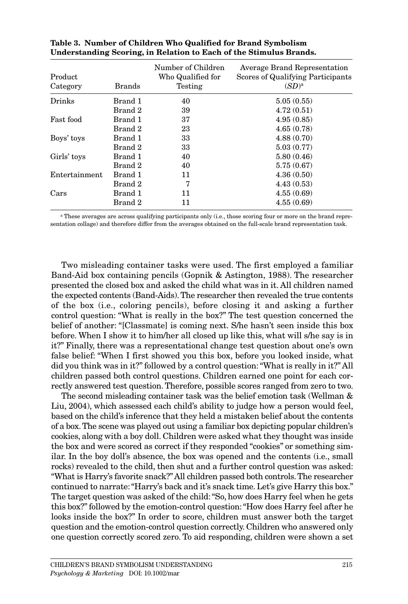| Product<br>Category | <b>Brands</b> | Number of Children<br>Who Qualified for<br>Testing | Average Brand Representation<br>Scores of Qualifying Participants<br>$(SD)^a$ |
|---------------------|---------------|----------------------------------------------------|-------------------------------------------------------------------------------|
| Drinks              | Brand 1       | 40                                                 | 5.05(0.55)                                                                    |
|                     | Brand 2       | 39                                                 | 4.72(0.51)                                                                    |
| Fast food           | Brand 1       | 37                                                 | 4.95(0.85)                                                                    |
|                     | Brand 2       | 23                                                 | 4.65(0.78)                                                                    |
| Boys' toys          | Brand 1       | 33                                                 | 4.88(0.70)                                                                    |
|                     | Brand 2       | 33                                                 | 5.03(0.77)                                                                    |
| Girls' toys         | Brand 1       | 40                                                 | 5.80(0.46)                                                                    |
|                     | Brand 2       | 40                                                 | 5.75(0.67)                                                                    |
| Entertainment       | Brand 1       | 11                                                 | 4.36(0.50)                                                                    |
|                     | Brand 2       | 7                                                  | 4.43(0.53)                                                                    |
| Cars                | Brand 1       | 11                                                 | 4.55(0.69)                                                                    |
|                     | Brand 2       | 11                                                 | 4.55(0.69)                                                                    |

**Table 3. Number of Children Who Qualified for Brand Symbolism Understanding Scoring, in Relation to Each of the Stimulus Brands.**

<sup>a</sup> These averages are across qualifying participants only (i.e., those scoring four or more on the brand representation collage) and therefore differ from the averages obtained on the full-scale brand representation task.

Two misleading container tasks were used. The first employed a familiar Band-Aid box containing pencils (Gopnik & Astington, 1988). The researcher presented the closed box and asked the child what was in it. All children named the expected contents (Band-Aids).The researcher then revealed the true contents of the box (i.e., coloring pencils), before closing it and asking a further control question: "What is really in the box?" The test question concerned the belief of another: "[Classmate] is coming next. S/he hasn't seen inside this box before. When I show it to him/her all closed up like this, what will s/he say is in it?" Finally, there was a representational change test question about one's own false belief: "When I first showed you this box, before you looked inside, what did you think was in it?" followed by a control question: "What is really in it?" All children passed both control questions. Children earned one point for each correctly answered test question. Therefore, possible scores ranged from zero to two.

The second misleading container task was the belief emotion task (Wellman & Liu, 2004), which assessed each child's ability to judge how a person would feel, based on the child's inference that they held a mistaken belief about the contents of a box.The scene was played out using a familiar box depicting popular children's cookies, along with a boy doll. Children were asked what they thought was inside the box and were scored as correct if they responded "cookies" or something similar. In the boy doll's absence, the box was opened and the contents (i.e., small rocks) revealed to the child, then shut and a further control question was asked: "What is Harry's favorite snack?"All children passed both controls.The researcher continued to narrate:"Harry's back and it's snack time. Let's give Harry this box." The target question was asked of the child:"So, how does Harry feel when he gets this box?" followed by the emotion-control question:"How does Harry feel after he looks inside the box?" In order to score, children must answer both the target question and the emotion-control question correctly. Children who answered only one question correctly scored zero. To aid responding, children were shown a set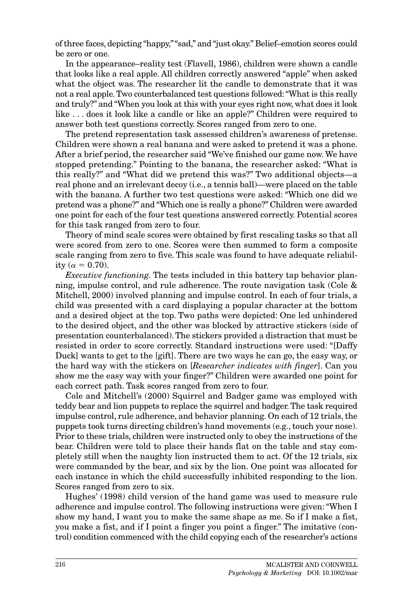of three faces, depicting "happy,""sad," and "just okay." Belief–emotion scores could be zero or one.

In the appearance–reality test (Flavell, 1986), children were shown a candle that looks like a real apple. All children correctly answered "apple" when asked what the object was. The researcher lit the candle to demonstrate that it was not a real apple. Two counterbalanced test questions followed: "What is this really and truly?" and "When you look at this with your eyes right now, what does it look like . . . does it look like a candle or like an apple?" Children were required to answer both test questions correctly. Scores ranged from zero to one.

The pretend representation task assessed children's awareness of pretense. Children were shown a real banana and were asked to pretend it was a phone. After a brief period, the researcher said "We've finished our game now. We have stopped pretending." Pointing to the banana, the researcher asked: "What is this really?" and "What did we pretend this was?" Two additional objects—a real phone and an irrelevant decoy (i.e., a tennis ball)—were placed on the table with the banana. A further two test questions were asked: "Which one did we pretend was a phone?" and "Which one is really a phone?" Children were awarded one point for each of the four test questions answered correctly. Potential scores for this task ranged from zero to four.

Theory of mind scale scores were obtained by first rescaling tasks so that all were scored from zero to one. Scores were then summed to form a composite scale ranging from zero to five. This scale was found to have adequate reliability ( $\alpha = 0.70$ ).

*Executive functioning.* The tests included in this battery tap behavior planning, impulse control, and rule adherence. The route navigation task (Cole & Mitchell, 2000) involved planning and impulse control. In each of four trials, a child was presented with a card displaying a popular character at the bottom and a desired object at the top. Two paths were depicted: One led unhindered to the desired object, and the other was blocked by attractive stickers (side of presentation counterbalanced). The stickers provided a distraction that must be resisted in order to score correctly. Standard instructions were used: "[Daffy Duck] wants to get to the [gift]. There are two ways he can go, the easy way, or the hard way with the stickers on [*Researcher indicates with finger*]. Can you show me the easy way with your finger?" Children were awarded one point for each correct path. Task scores ranged from zero to four.

Cole and Mitchell's (2000) Squirrel and Badger game was employed with teddy bear and lion puppets to replace the squirrel and badger. The task required impulse control, rule adherence, and behavior planning. On each of 12 trials, the puppets took turns directing children's hand movements (e.g., touch your nose). Prior to these trials, children were instructed only to obey the instructions of the bear. Children were told to place their hands flat on the table and stay completely still when the naughty lion instructed them to act. Of the 12 trials, six were commanded by the bear, and six by the lion. One point was allocated for each instance in which the child successfully inhibited responding to the lion. Scores ranged from zero to six.

Hughes' (1998) child version of the hand game was used to measure rule adherence and impulse control. The following instructions were given: "When I show my hand, I want you to make the same shape as me. So if I make a fist, you make a fist, and if I point a finger you point a finger." The imitative (control) condition commenced with the child copying each of the researcher's actions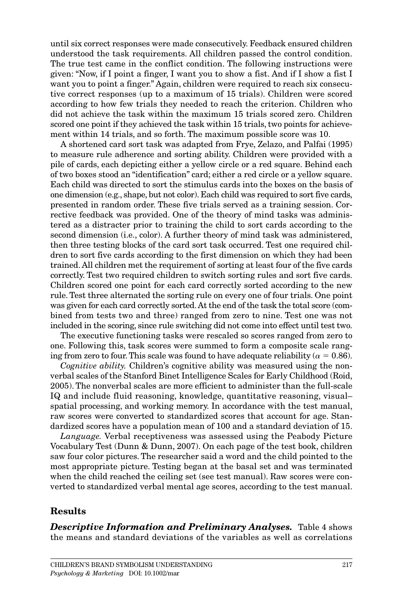until six correct responses were made consecutively. Feedback ensured children understood the task requirements. All children passed the control condition. The true test came in the conflict condition. The following instructions were given: "Now, if I point a finger, I want you to show a fist. And if I show a fist I want you to point a finger." Again, children were required to reach six consecutive correct responses (up to a maximum of 15 trials). Children were scored according to how few trials they needed to reach the criterion. Children who did not achieve the task within the maximum 15 trials scored zero. Children scored one point if they achieved the task within 15 trials, two points for achievement within 14 trials, and so forth. The maximum possible score was 10.

A shortened card sort task was adapted from Frye, Zelazo, and Palfai (1995) to measure rule adherence and sorting ability. Children were provided with a pile of cards, each depicting either a yellow circle or a red square. Behind each of two boxes stood an "identification" card; either a red circle or a yellow square. Each child was directed to sort the stimulus cards into the boxes on the basis of one dimension (e.g., shape, but not color). Each child was required to sort five cards, presented in random order. These five trials served as a training session. Corrective feedback was provided. One of the theory of mind tasks was administered as a distracter prior to training the child to sort cards according to the second dimension (i.e., color). A further theory of mind task was administered, then three testing blocks of the card sort task occurred. Test one required children to sort five cards according to the first dimension on which they had been trained. All children met the requirement of sorting at least four of the five cards correctly. Test two required children to switch sorting rules and sort five cards. Children scored one point for each card correctly sorted according to the new rule. Test three alternated the sorting rule on every one of four trials. One point was given for each card correctly sorted.At the end of the task the total score (combined from tests two and three) ranged from zero to nine. Test one was not included in the scoring, since rule switching did not come into effect until test two.

The executive functioning tasks were rescaled so scores ranged from zero to one. Following this, task scores were summed to form a composite scale ranging from zero to four. This scale was found to have adequate reliability ( $\alpha = 0.86$ ).

*Cognitive ability.* Children's cognitive ability was measured using the nonverbal scales of the Stanford Binet Intelligence Scales for Early Childhood (Roid, 2005). The nonverbal scales are more efficient to administer than the full-scale IQ and include fluid reasoning, knowledge, quantitative reasoning, visual– spatial processing, and working memory. In accordance with the test manual, raw scores were converted to standardized scores that account for age. Standardized scores have a population mean of 100 and a standard deviation of 15.

*Language.* Verbal receptiveness was assessed using the Peabody Picture Vocabulary Test (Dunn & Dunn, 2007). On each page of the test book, children saw four color pictures. The researcher said a word and the child pointed to the most appropriate picture. Testing began at the basal set and was terminated when the child reached the ceiling set (see test manual). Raw scores were converted to standardized verbal mental age scores, according to the test manual.

#### **Results**

*Descriptive Information and Preliminary Analyses.* Table 4 shows the means and standard deviations of the variables as well as correlations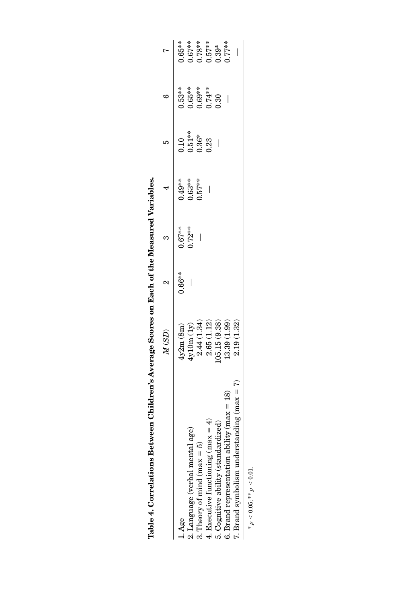| is the contract of the contract of the contract of the contract of the contract of the contract of the contract of the contract of the contract of the contract of the contract of the contract of the contract of the contrac |               |           |           |           |          |           |           |
|--------------------------------------------------------------------------------------------------------------------------------------------------------------------------------------------------------------------------------|---------------|-----------|-----------|-----------|----------|-----------|-----------|
|                                                                                                                                                                                                                                | M(SD)         |           |           |           |          | c         |           |
| L. Age                                                                                                                                                                                                                         | $4y2m(8m)$    | $0.66***$ | $0.67***$ | $0.49***$ | 0.10     | $0.53**$  | $0.65***$ |
| 2. Language (verbal mental age)                                                                                                                                                                                                | 4y10m(1y)     | I         | $0.72***$ | $0.63**$  | $0.51**$ | $0.65***$ | $0.67***$ |
| 3. Theory of $\min$ d $(\max = 5)$                                                                                                                                                                                             | 2.44(1.34)    |           |           | $0.57***$ | $0.36*$  | $0.69**$  | $0.78***$ |
| 4. Executive functioning (max = $4$ )                                                                                                                                                                                          | 2.65(1.12)    |           |           |           | 0.23     | $0.74***$ | $0.57***$ |
| 5. Cognitive ability (standardized)                                                                                                                                                                                            | (05.15(9.38)) |           |           |           |          | 0.30      | $0.39*$   |
| $= 18$<br>6. Brand representation ability (max                                                                                                                                                                                 | 13.39 (1.99)  |           |           |           |          |           | $0.77***$ |
| $(max = 7)$<br>7. Brand symbolism understanding                                                                                                                                                                                | 2.19(1.32)    |           |           |           |          |           |           |
|                                                                                                                                                                                                                                |               |           |           |           |          |           |           |

| $\frac{1}{2}$                                                    |
|------------------------------------------------------------------|
| l<br>$\overline{a}$                                              |
|                                                                  |
| $\frac{1}{2}$<br>֖֚֚֚֚֚֚֚֚֚֚֚֚֚֚֚֚֬֡֓֡֓֡֓֡֓֡֓֡֓֡֓֓֡֓֓֡֓֓֡֓֓֡֟֓֡֟ |
|                                                                  |
| ١                                                                |
| $\frac{1}{\epsilon}$                                             |
| I                                                                |
| I                                                                |
|                                                                  |
|                                                                  |
|                                                                  |

\*  $p < 0.05$ ; \*\*  $p < 0.01$ .  $p^*p < 0.05$ ; \*\*  $p < 0.01$ .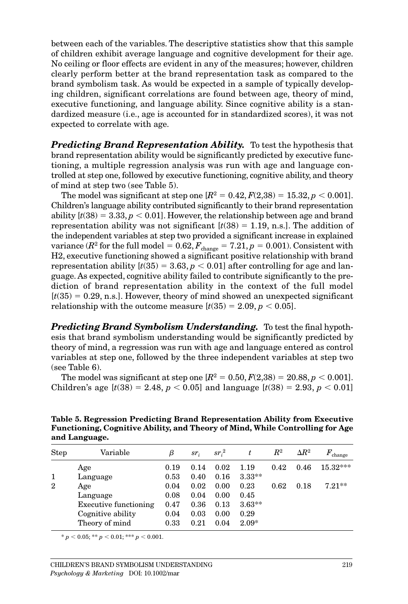between each of the variables. The descriptive statistics show that this sample of children exhibit average language and cognitive development for their age. No ceiling or floor effects are evident in any of the measures; however, children clearly perform better at the brand representation task as compared to the brand symbolism task. As would be expected in a sample of typically developing children, significant correlations are found between age, theory of mind, executive functioning, and language ability. Since cognitive ability is a standardized measure (i.e., age is accounted for in standardized scores), it was not expected to correlate with age.

*Predicting Brand Representation Ability.* To test the hypothesis that brand representation ability would be significantly predicted by executive functioning, a multiple regression analysis was run with age and language controlled at step one, followed by executive functioning, cognitive ability, and theory of mind at step two (see Table 5).

The model was significant at step one  $[R^2 = 0.42, F(2,38) = 15.32, p < 0.001]$ . Children's language ability contributed significantly to their brand representation ability  $[t(38) = 3.33, p < 0.01]$ . However, the relationship between age and brand representation ability was not significant  $[t(38) = 1.19, n.s.]$ . The addition of the independent variables at step two provided a significant increase in explained  $\text{variance} \left( R^2 \text{ for the full model } = 0.62, F_{\text{change}} = 7.21, p = 0.001 \right). \text{ Consistent with}$ H2, executive functioning showed a significant positive relationship with brand  $\emph{representation ability}$  [ $t(35) = 3.63, p < 0.01$ ] after controlling for age and language. As expected, cognitive ability failed to contribute significantly to the prediction of brand representation ability in the context of the full model  $[t(35) = 0.29, n.s.].$  However, theory of mind showed an unexpected significant relationship with the outcome measure  $[t(35) = 2.09, p < 0.05]$ .

*Predicting Brand Symbolism Understanding.* To test the final hypothesis that brand symbolism understanding would be significantly predicted by theory of mind, a regression was run with age and language entered as control variables at step one, followed by the three independent variables at step two (see Table 6).

The model was significant at step one  $[R^2 = 0.50, F(2,38) = 20.88, p < 0.001]$ . Children's age  $[t(38) = 2.48, p < 0.05]$  and language  $[t(38) = 2.93, p < 0.01]$ 

| Table 5. Regression Predicting Brand Representation Ability from Executive    |
|-------------------------------------------------------------------------------|
| Functioning, Cognitive Ability, and Theory of Mind, While Controlling for Age |
| and Language.                                                                 |

| <b>Step</b> | Variable                     | β    | sr <sub>i</sub> | sr <sub>i</sub> <sup>2</sup> | t        | $\,R^2$ | $\Delta R^2$ | ${F}_{\rm change}$ |
|-------------|------------------------------|------|-----------------|------------------------------|----------|---------|--------------|--------------------|
|             | Age                          | 0.19 | 0.14            | 0.02                         | 1.19     | 0.42    | 0.46         | $15.32***$         |
| 1           | Language                     | 0.53 | 0.40            | 0.16                         | $3.33**$ |         |              |                    |
| $\mathbf 2$ | Age                          | 0.04 | 0.02            | 0.00                         | 0.23     | 0.62    | 0.18         | $7.21**$           |
|             | Language                     | 0.08 | 0.04            | 0.00                         | 0.45     |         |              |                    |
|             | <b>Executive functioning</b> | 0.47 | 0.36            | 0.13                         | $3.63**$ |         |              |                    |
|             | Cognitive ability            | 0.04 | 0.03            | 0.00                         | 0.29     |         |              |                    |
|             | Theory of mind               | 0.33 | 0.21            | 0.04                         | $2.09*$  |         |              |                    |

 $* p < 0.05; ** p < 0.01; ** p < 0.001.$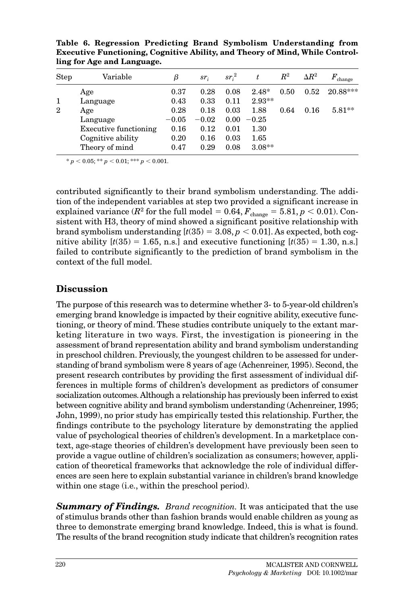**Table 6. Regression Predicting Brand Symbolism Understanding from Executive Functioning, Cognitive Ability, and Theory of Mind, While Controlling for Age and Language.**

| <b>Step</b>    | Variable                     | β       | sr <sub>i</sub> | $sr_i^2$ | t        | $\,R^2$ | $\Delta R^2$ | $_{F}$<br>change |
|----------------|------------------------------|---------|-----------------|----------|----------|---------|--------------|------------------|
|                | Age                          | 0.37    | 0.28            | 0.08     | $2.48*$  | 0.50    | 0.52         | $20.88***$       |
|                | Language                     | 0.43    | 0.33            | 0.11     | $2.93**$ |         |              |                  |
| $\overline{2}$ | Age                          | 0.28    | 0.18            | 0.03     | 1.88     | 0.64    | 0.16         | $5.81**$         |
|                | Language                     | $-0.05$ | $-0.02$         | 0.00     | $-0.25$  |         |              |                  |
|                | <b>Executive functioning</b> | 0.16    | 0.12            | 0.01     | 1.30     |         |              |                  |
|                | Cognitive ability            | 0.20    | 0.16            | 0.03     | 1.65     |         |              |                  |
|                | Theory of mind               | 0.47    | 0.29            | 0.08     | $3.08**$ |         |              |                  |

 $* p < 0.05; ** p < 0.01; *** p < 0.001.$ 

contributed significantly to their brand symbolism understanding. The addition of the independent variables at step two provided a significant increase in  $\text{explained variance} \ (R^2 \ \text{for the full model} = 0.64, F_{\text{change}} = 5.81, p < 0.01). \ \text{Con-}$ sistent with H3, theory of mind showed a significant positive relationship with brand symbolism understanding [ $t(35) = 3.08, p < 0.01$ ]. As expected, both cognitive ability  $[t(35) = 1.65, n.s.]$  and executive functioning  $[t(35) = 1.30, n.s.]$ failed to contribute significantly to the prediction of brand symbolism in the context of the full model.

#### **Discussion**

The purpose of this research was to determine whether 3- to 5-year-old children's emerging brand knowledge is impacted by their cognitive ability, executive functioning, or theory of mind. These studies contribute uniquely to the extant marketing literature in two ways. First, the investigation is pioneering in the assessment of brand representation ability and brand symbolism understanding in preschool children. Previously, the youngest children to be assessed for understanding of brand symbolism were 8 years of age (Achenreiner, 1995). Second, the present research contributes by providing the first assessment of individual differences in multiple forms of children's development as predictors of consumer socialization outcomes.Although a relationship has previously been inferred to exist between cognitive ability and brand symbolism understanding (Achenreiner, 1995; John, 1999), no prior study has empirically tested this relationship. Further, the findings contribute to the psychology literature by demonstrating the applied value of psychological theories of children's development. In a marketplace context, age-stage theories of children's development have previously been seen to provide a vague outline of children's socialization as consumers; however, application of theoretical frameworks that acknowledge the role of individual differences are seen here to explain substantial variance in children's brand knowledge within one stage (i.e., within the preschool period).

*Summary of Findings. Brand recognition.* It was anticipated that the use of stimulus brands other than fashion brands would enable children as young as three to demonstrate emerging brand knowledge. Indeed, this is what is found. The results of the brand recognition study indicate that children's recognition rates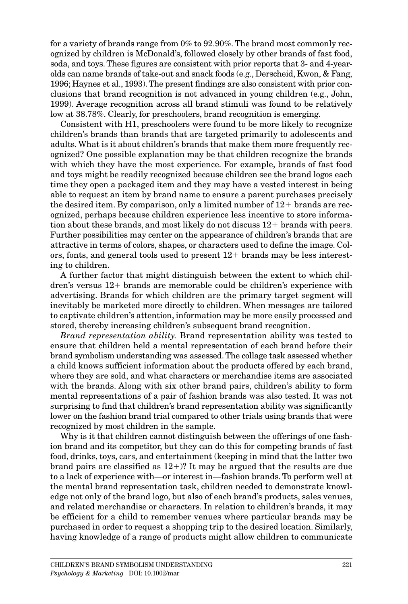for a variety of brands range from 0% to 92.90%. The brand most commonly recognized by children is McDonald's, followed closely by other brands of fast food, soda, and toys. These figures are consistent with prior reports that 3- and 4-yearolds can name brands of take-out and snack foods (e.g., Derscheid, Kwon, & Fang, 1996; Haynes et al., 1993).The present findings are also consistent with prior conclusions that brand recognition is not advanced in young children (e.g., John, 1999). Average recognition across all brand stimuli was found to be relatively low at 38.78%. Clearly, for preschoolers, brand recognition is emerging.

Consistent with H1, preschoolers were found to be more likely to recognize children's brands than brands that are targeted primarily to adolescents and adults. What is it about children's brands that make them more frequently recognized? One possible explanation may be that children recognize the brands with which they have the most experience. For example, brands of fast food and toys might be readily recognized because children see the brand logos each time they open a packaged item and they may have a vested interest in being able to request an item by brand name to ensure a parent purchases precisely the desired item. By comparison, only a limited number of  $12+$  brands are recognized, perhaps because children experience less incentive to store information about these brands, and most likely do not discuss  $12+$  brands with peers. Further possibilities may center on the appearance of children's brands that are attractive in terms of colors, shapes, or characters used to define the image. Colors, fonts, and general tools used to present  $12 +$  brands may be less interesting to children.

A further factor that might distinguish between the extent to which children's versus  $12 +$  brands are memorable could be children's experience with advertising. Brands for which children are the primary target segment will inevitably be marketed more directly to children. When messages are tailored to captivate children's attention, information may be more easily processed and stored, thereby increasing children's subsequent brand recognition.

*Brand representation ability.* Brand representation ability was tested to ensure that children held a mental representation of each brand before their brand symbolism understanding was assessed. The collage task assessed whether a child knows sufficient information about the products offered by each brand, where they are sold, and what characters or merchandise items are associated with the brands. Along with six other brand pairs, children's ability to form mental representations of a pair of fashion brands was also tested. It was not surprising to find that children's brand representation ability was significantly lower on the fashion brand trial compared to other trials using brands that were recognized by most children in the sample.

Why is it that children cannot distinguish between the offerings of one fashion brand and its competitor, but they can do this for competing brands of fast food, drinks, toys, cars, and entertainment (keeping in mind that the latter two brand pairs are classified as  $12+$ ? It may be argued that the results are due to a lack of experience with—or interest in—fashion brands. To perform well at the mental brand representation task, children needed to demonstrate knowledge not only of the brand logo, but also of each brand's products, sales venues, and related merchandise or characters. In relation to children's brands, it may be efficient for a child to remember venues where particular brands may be purchased in order to request a shopping trip to the desired location. Similarly, having knowledge of a range of products might allow children to communicate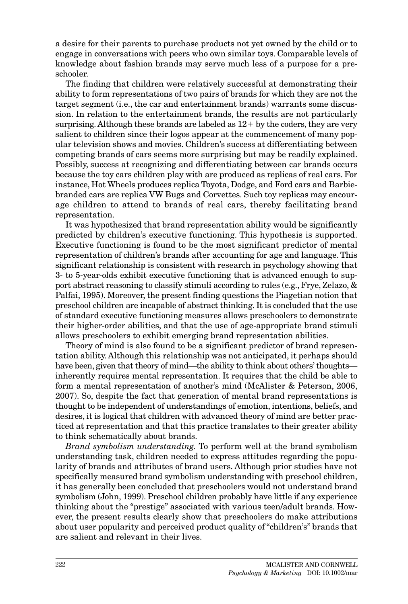a desire for their parents to purchase products not yet owned by the child or to engage in conversations with peers who own similar toys. Comparable levels of knowledge about fashion brands may serve much less of a purpose for a preschooler.

The finding that children were relatively successful at demonstrating their ability to form representations of two pairs of brands for which they are not the target segment (i.e., the car and entertainment brands) warrants some discussion. In relation to the entertainment brands, the results are not particularly surprising. Although these brands are labeled as  $12 +$  by the coders, they are very salient to children since their logos appear at the commencement of many popular television shows and movies. Children's success at differentiating between competing brands of cars seems more surprising but may be readily explained. Possibly, success at recognizing and differentiating between car brands occurs because the toy cars children play with are produced as replicas of real cars. For instance, Hot Wheels produces replica Toyota, Dodge, and Ford cars and Barbiebranded cars are replica VW Bugs and Corvettes. Such toy replicas may encourage children to attend to brands of real cars, thereby facilitating brand representation.

It was hypothesized that brand representation ability would be significantly predicted by children's executive functioning. This hypothesis is supported. Executive functioning is found to be the most significant predictor of mental representation of children's brands after accounting for age and language. This significant relationship is consistent with research in psychology showing that 3- to 5-year-olds exhibit executive functioning that is advanced enough to support abstract reasoning to classify stimuli according to rules (e.g., Frye, Zelazo, & Palfai, 1995). Moreover, the present finding questions the Piagetian notion that preschool children are incapable of abstract thinking. It is concluded that the use of standard executive functioning measures allows preschoolers to demonstrate their higher-order abilities, and that the use of age-appropriate brand stimuli allows preschoolers to exhibit emerging brand representation abilities.

Theory of mind is also found to be a significant predictor of brand representation ability. Although this relationship was not anticipated, it perhaps should have been, given that theory of mind—the ability to think about others' thoughts inherently requires mental representation. It requires that the child be able to form a mental representation of another's mind (McAlister & Peterson, 2006, 2007). So, despite the fact that generation of mental brand representations is thought to be independent of understandings of emotion, intentions, beliefs, and desires, it is logical that children with advanced theory of mind are better practiced at representation and that this practice translates to their greater ability to think schematically about brands.

*Brand symbolism understanding.* To perform well at the brand symbolism understanding task, children needed to express attitudes regarding the popularity of brands and attributes of brand users. Although prior studies have not specifically measured brand symbolism understanding with preschool children, it has generally been concluded that preschoolers would not understand brand symbolism (John, 1999). Preschool children probably have little if any experience thinking about the "prestige" associated with various teen/adult brands. However, the present results clearly show that preschoolers do make attributions about user popularity and perceived product quality of "children's" brands that are salient and relevant in their lives.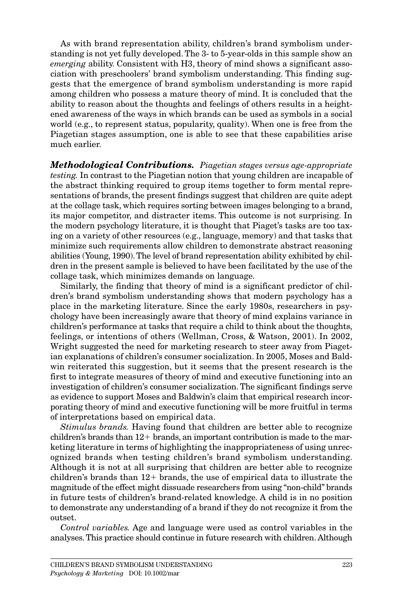As with brand representation ability, children's brand symbolism understanding is not yet fully developed. The 3- to 5-year-olds in this sample show an *emerging* ability. Consistent with H3, theory of mind shows a significant association with preschoolers' brand symbolism understanding. This finding suggests that the emergence of brand symbolism understanding is more rapid among children who possess a mature theory of mind. It is concluded that the ability to reason about the thoughts and feelings of others results in a heightened awareness of the ways in which brands can be used as symbols in a social world (e.g., to represent status, popularity, quality). When one is free from the Piagetian stages assumption, one is able to see that these capabilities arise much earlier.

*Methodological Contributions. Piagetian stages versus age-appropriate testing.* In contrast to the Piagetian notion that young children are incapable of the abstract thinking required to group items together to form mental representations of brands, the present findings suggest that children are quite adept at the collage task, which requires sorting between images belonging to a brand, its major competitor, and distracter items. This outcome is not surprising. In the modern psychology literature, it is thought that Piaget's tasks are too taxing on a variety of other resources (e.g., language, memory) and that tasks that minimize such requirements allow children to demonstrate abstract reasoning abilities (Young, 1990). The level of brand representation ability exhibited by children in the present sample is believed to have been facilitated by the use of the collage task, which minimizes demands on language.

Similarly, the finding that theory of mind is a significant predictor of children's brand symbolism understanding shows that modern psychology has a place in the marketing literature. Since the early 1980s, researchers in psychology have been increasingly aware that theory of mind explains variance in children's performance at tasks that require a child to think about the thoughts, feelings, or intentions of others (Wellman, Cross, & Watson, 2001). In 2002, Wright suggested the need for marketing research to steer away from Piagetian explanations of children's consumer socialization. In 2005, Moses and Baldwin reiterated this suggestion, but it seems that the present research is the first to integrate measures of theory of mind and executive functioning into an investigation of children's consumer socialization. The significant findings serve as evidence to support Moses and Baldwin's claim that empirical research incorporating theory of mind and executive functioning will be more fruitful in terms of interpretations based on empirical data.

*Stimulus brands.* Having found that children are better able to recognize children's brands than  $12+$  brands, an important contribution is made to the marketing literature in terms of highlighting the inappropriateness of using unrecognized brands when testing children's brand symbolism understanding. Although it is not at all surprising that children are better able to recognize children's brands than  $12 +$  brands, the use of empirical data to illustrate the magnitude of the effect might dissuade researchers from using "non-child" brands in future tests of children's brand-related knowledge. A child is in no position to demonstrate any understanding of a brand if they do not recognize it from the outset.

*Control variables.* Age and language were used as control variables in the analyses. This practice should continue in future research with children. Although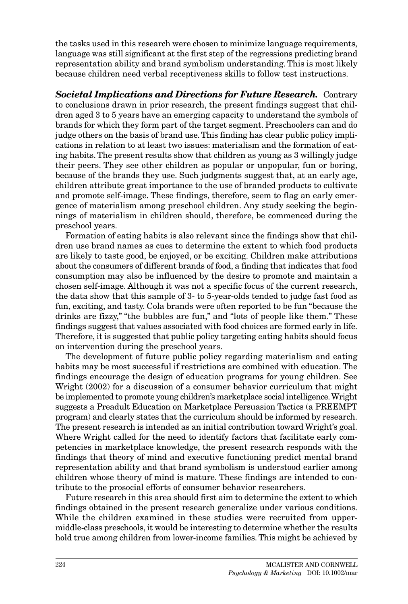the tasks used in this research were chosen to minimize language requirements, language was still significant at the first step of the regressions predicting brand representation ability and brand symbolism understanding. This is most likely because children need verbal receptiveness skills to follow test instructions.

*Societal Implications and Directions for Future Research.* Contrary to conclusions drawn in prior research, the present findings suggest that children aged 3 to 5 years have an emerging capacity to understand the symbols of brands for which they form part of the target segment. Preschoolers can and do judge others on the basis of brand use. This finding has clear public policy implications in relation to at least two issues: materialism and the formation of eating habits. The present results show that children as young as 3 willingly judge their peers. They see other children as popular or unpopular, fun or boring, because of the brands they use. Such judgments suggest that, at an early age, children attribute great importance to the use of branded products to cultivate and promote self-image. These findings, therefore, seem to flag an early emergence of materialism among preschool children. Any study seeking the beginnings of materialism in children should, therefore, be commenced during the preschool years.

Formation of eating habits is also relevant since the findings show that children use brand names as cues to determine the extent to which food products are likely to taste good, be enjoyed, or be exciting. Children make attributions about the consumers of different brands of food, a finding that indicates that food consumption may also be influenced by the desire to promote and maintain a chosen self-image. Although it was not a specific focus of the current research, the data show that this sample of 3- to 5-year-olds tended to judge fast food as fun, exciting, and tasty. Cola brands were often reported to be fun "because the drinks are fizzy," "the bubbles are fun," and "lots of people like them." These findings suggest that values associated with food choices are formed early in life. Therefore, it is suggested that public policy targeting eating habits should focus on intervention during the preschool years.

The development of future public policy regarding materialism and eating habits may be most successful if restrictions are combined with education. The findings encourage the design of education programs for young children. See Wright (2002) for a discussion of a consumer behavior curriculum that might be implemented to promote young children's marketplace social intelligence.Wright suggests a Preadult Education on Marketplace Persuasion Tactics (a PREEMPT program) and clearly states that the curriculum should be informed by research. The present research is intended as an initial contribution toward Wright's goal. Where Wright called for the need to identify factors that facilitate early competencies in marketplace knowledge, the present research responds with the findings that theory of mind and executive functioning predict mental brand representation ability and that brand symbolism is understood earlier among children whose theory of mind is mature. These findings are intended to contribute to the prosocial efforts of consumer behavior researchers.

Future research in this area should first aim to determine the extent to which findings obtained in the present research generalize under various conditions. While the children examined in these studies were recruited from uppermiddle-class preschools, it would be interesting to determine whether the results hold true among children from lower-income families. This might be achieved by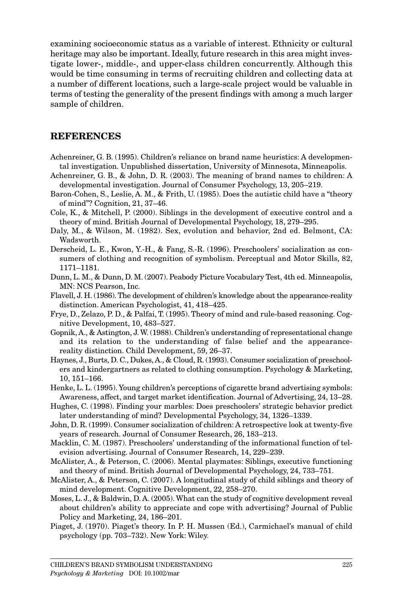examining socioeconomic status as a variable of interest. Ethnicity or cultural heritage may also be important. Ideally, future research in this area might investigate lower-, middle-, and upper-class children concurrently. Although this would be time consuming in terms of recruiting children and collecting data at a number of different locations, such a large-scale project would be valuable in terms of testing the generality of the present findings with among a much larger sample of children.

#### **REFERENCES**

- Achenreiner, G. B. (1995). Children's reliance on brand name heuristics: A developmental investigation. Unpublished dissertation, University of Minnesota, Minneapolis.
- Achenreiner, G. B., & John, D. R. (2003). The meaning of brand names to children: A developmental investigation. Journal of Consumer Psychology, 13, 205–219.
- Baron-Cohen, S., Leslie, A. M., & Frith, U. (1985). Does the autistic child have a "theory of mind"? Cognition, 21, 37–46.
- Cole, K., & Mitchell, P. (2000). Siblings in the development of executive control and a theory of mind. British Journal of Developmental Psychology, 18, 279–295.
- Daly, M., & Wilson, M. (1982). Sex, evolution and behavior, 2nd ed. Belmont, CA: Wadsworth.
- Derscheid, L. E., Kwon, Y.-H., & Fang, S.-R. (1996). Preschoolers' socialization as consumers of clothing and recognition of symbolism. Perceptual and Motor Skills, 82, 1171–1181.
- Dunn, L. M., & Dunn, D. M. (2007). Peabody Picture Vocabulary Test, 4th ed. Minneapolis, MN: NCS Pearson, Inc.
- Flavell, J. H. (1986). The development of children's knowledge about the appearance-reality distinction. American Psychologist, 41, 418–425.
- Frye, D., Zelazo, P. D., & Palfai, T. (1995). Theory of mind and rule-based reasoning. Cognitive Development, 10, 483–527.
- Gopnik, A., & Astington, J. W. (1988). Children's understanding of representational change and its relation to the understanding of false belief and the appearancereality distinction. Child Development, 59, 26–37.
- Haynes, J., Burts, D. C., Dukes, A., & Cloud, R. (1993). Consumer socialization of preschoolers and kindergartners as related to clothing consumption. Psychology & Marketing, 10, 151–166.
- Henke, L. L. (1995). Young children's perceptions of cigarette brand advertising symbols: Awareness, affect, and target market identification. Journal of Advertising, 24, 13–28.
- Hughes, C. (1998). Finding your marbles: Does preschoolers' strategic behavior predict later understanding of mind? Developmental Psychology, 34, 1326–1339.
- John, D. R. (1999). Consumer socialization of children: A retrospective look at twenty-five years of research. Journal of Consumer Research, 26, 183–213.
- Macklin, C. M. (1987). Preschoolers' understanding of the informational function of television advertising. Journal of Consumer Research, 14, 229–239.
- McAlister, A., & Peterson, C. (2006). Mental playmates: Siblings, executive functioning and theory of mind. British Journal of Developmental Psychology, 24, 733–751.
- McAlister, A., & Peterson, C. (2007). A longitudinal study of child siblings and theory of mind development. Cognitive Development, 22, 258–270.
- Moses, L. J., & Baldwin, D. A. (2005). What can the study of cognitive development reveal about children's ability to appreciate and cope with advertising? Journal of Public Policy and Marketing, 24, 186–201.
- Piaget, J. (1970). Piaget's theory. In P. H. Mussen (Ed.), Carmichael's manual of child psychology (pp. 703–732). New York: Wiley.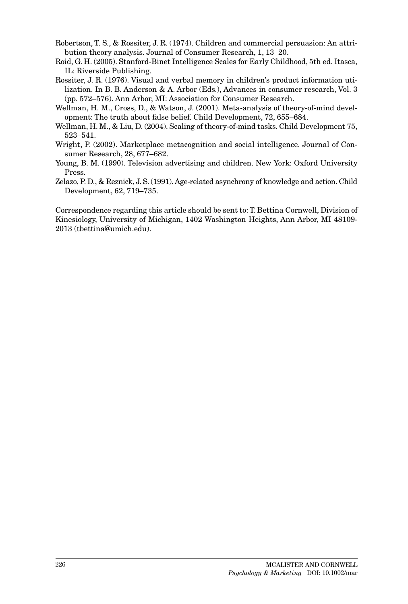- Robertson, T. S., & Rossiter, J. R. (1974). Children and commercial persuasion: An attribution theory analysis. Journal of Consumer Research, 1, 13–20.
- Roid, G. H. (2005). Stanford-Binet Intelligence Scales for Early Childhood, 5th ed. Itasca, IL: Riverside Publishing.
- Rossiter, J. R. (1976). Visual and verbal memory in children's product information utilization. In B. B. Anderson & A. Arbor (Eds.), Advances in consumer research, Vol. 3 (pp. 572–576). Ann Arbor, MI: Association for Consumer Research.
- Wellman, H. M., Cross, D., & Watson, J. (2001). Meta-analysis of theory-of-mind development: The truth about false belief. Child Development, 72, 655–684.
- Wellman, H. M., & Liu, D. (2004). Scaling of theory-of-mind tasks. Child Development 75, 523–541.
- Wright, P. (2002). Marketplace metacognition and social intelligence. Journal of Consumer Research, 28, 677–682.
- Young, B. M. (1990). Television advertising and children. New York: Oxford University Press.
- Zelazo, P. D., & Reznick, J. S. (1991). Age-related asynchrony of knowledge and action. Child Development, 62, 719–735.

Correspondence regarding this article should be sent to: T. Bettina Cornwell, Division of Kinesiology, University of Michigan, 1402 Washington Heights, Ann Arbor, MI 48109- 2013 (tbettina@umich.edu).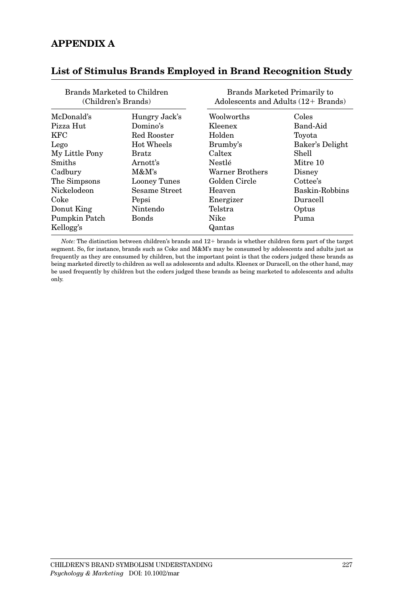# **APPENDIX A**

| Brands Marketed to Children<br>(Children's Brands) |                           | Brands Marketed Primarily to<br>Adolescents and Adults $(12 + Brands)$ |                   |  |  |
|----------------------------------------------------|---------------------------|------------------------------------------------------------------------|-------------------|--|--|
| McDonald's<br>Pizza Hut                            | Hungry Jack's<br>Domino's | Woolworths<br>Kleenex                                                  | Coles<br>Band-Aid |  |  |
| <b>KFC</b>                                         | Red Rooster               | Holden                                                                 | Toyota            |  |  |
| Lego                                               | Hot Wheels                | Brumby's                                                               | Baker's Delight   |  |  |
| My Little Pony                                     | <b>Bratz</b>              | Caltex                                                                 | Shell             |  |  |
| Smiths                                             | Arnott's                  | Nestlé                                                                 | Mitre 10          |  |  |
| Cadbury                                            | $M\&M's$                  | Warner Brothers                                                        | Disney            |  |  |
| The Simpsons                                       | Looney Tunes              | Golden Circle                                                          | Cottee's          |  |  |
| Nickelodeon                                        | <b>Sesame Street</b>      | Heaven                                                                 | Baskin-Robbins    |  |  |
| Coke                                               | Pepsi                     | Energizer                                                              | Duracell          |  |  |
| Donut King                                         | Nintendo                  | Telstra                                                                | Optus             |  |  |
| Pumpkin Patch<br>Kellogg's                         | <b>Bonds</b>              | Nike<br>Qantas                                                         | Puma              |  |  |

# **List of Stimulus Brands Employed in Brand Recognition Study**

*Note:* The distinction between children's brands and  $12+$  brands is whether children form part of the target segment. So, for instance, brands such as Coke and M&M's may be consumed by adolescents and adults just as frequently as they are consumed by children, but the important point is that the coders judged these brands as being marketed directly to children as well as adolescents and adults. Kleenex or Duracell, on the other hand, may be used frequently by children but the coders judged these brands as being marketed to adolescents and adults only.